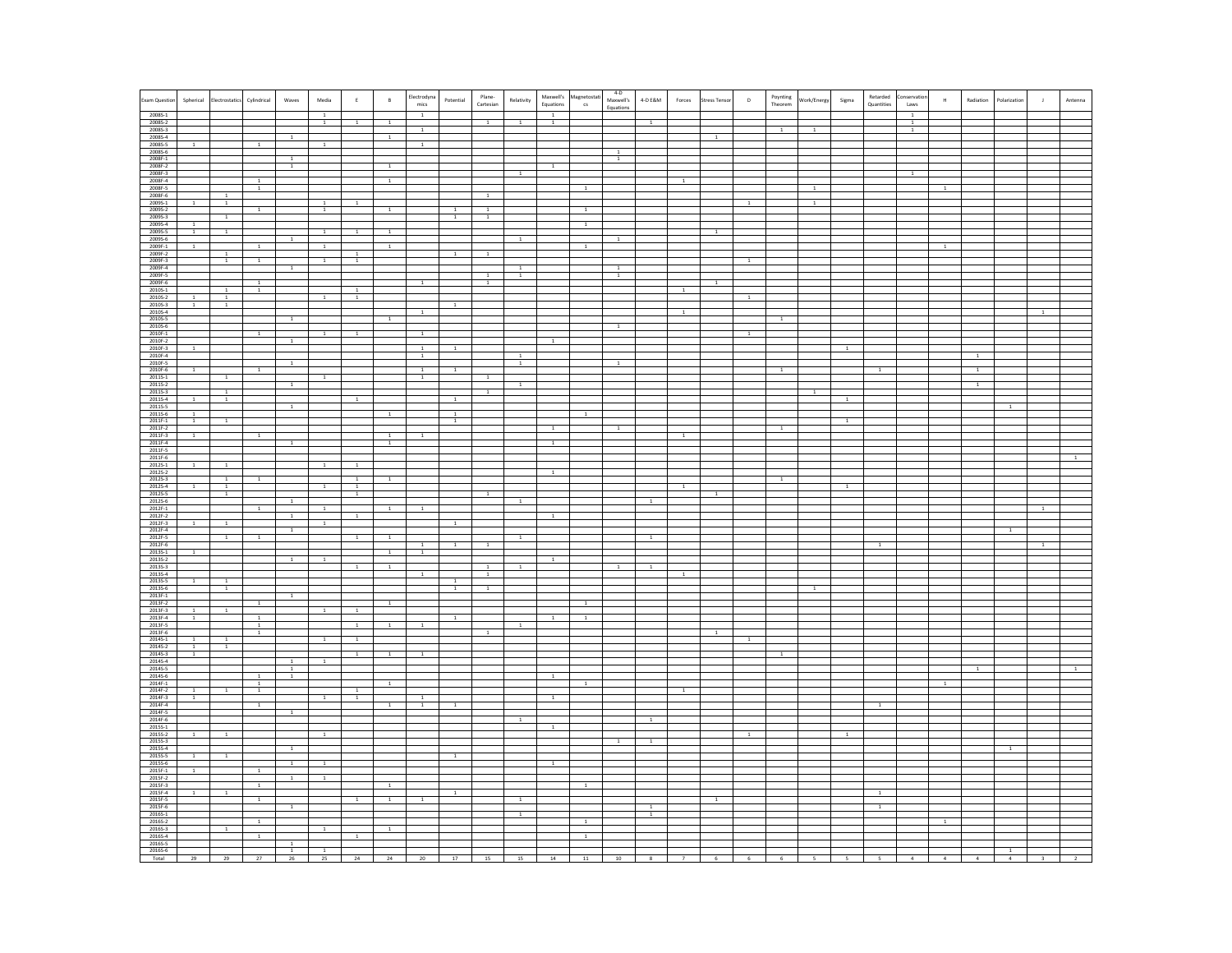| Exam Question                            | Spherical<br>ectrostatic                                        | Cylindrical                    | Waves                         | Media                       | $\mathsf E$                   | $\sf{B}$       | Electrodyna<br>Potential<br>mics                 | Plane-<br>Cartesian | Relativity     | Equations      | Maxwell's Magnetostati<br>cs | $4-D$<br>Maxwell's             | 4-D $\mathsf{E}8\mathsf{M}$<br>Forces | tress Tenso    | $\mathsf D$    | Poynting<br>Theorem | Work/Energy    | Sigma        | Retarded<br>onservation<br>Quantities<br>Laws | $\,$ H         | Radiation      | Polarization   | Antenn |
|------------------------------------------|-----------------------------------------------------------------|--------------------------------|-------------------------------|-----------------------------|-------------------------------|----------------|--------------------------------------------------|---------------------|----------------|----------------|------------------------------|--------------------------------|---------------------------------------|----------------|----------------|---------------------|----------------|--------------|-----------------------------------------------|----------------|----------------|----------------|--------|
|                                          |                                                                 |                                |                               | $\overline{1}$              |                               |                | $\overline{1}$                                   |                     |                | $\overline{1}$ |                              | Equation:                      |                                       |                |                |                     |                |              | $\overline{1}$                                |                |                |                |        |
| 2008S-1<br>2008S-2<br>2008S-3            |                                                                 |                                |                               | $\mathbf{1}$                | <sup>1</sup>                  | <sup>1</sup>   | $\,$ 1                                           | $\overline{1}$      | $\overline{1}$ | $\overline{1}$ |                              |                                | 1                                     |                |                |                     |                |              | <sup>1</sup><br>$\,$ 1                        |                |                |                |        |
| 20085-4                                  |                                                                 | $\overline{1}$                 | $\,1$                         |                             |                               | $\,$ 1 $\,$    |                                                  |                     |                |                |                              |                                |                                       | $\overline{1}$ |                |                     |                |              |                                               |                |                |                |        |
| 20085-5<br>2008S-6                       |                                                                 |                                |                               |                             |                               |                |                                                  |                     |                |                |                              | <sup>1</sup>                   |                                       |                |                |                     |                |              |                                               |                |                |                |        |
| 2008F-1<br>2008F-2                       |                                                                 |                                | <sup>1</sup><br>$\,$ 1 $\,$   |                             |                               | $\,$ 1         |                                                  |                     |                | $\overline{1}$ |                              | $\overline{1}$                 |                                       |                |                |                     |                |              |                                               |                |                |                |        |
| 2008F-3<br>2008F-4                       |                                                                 | $\overline{1}$                 |                               |                             |                               | $\overline{1}$ |                                                  |                     | $\mathbf{1}$   |                |                              |                                | $\overline{1}$                        |                |                |                     |                |              | $\mathbf{1}$                                  |                |                |                |        |
| 2008F-5<br>2008F-6                       | 1                                                               | $\overline{1}$                 |                               |                             |                               |                |                                                  | <sup>1</sup>        |                |                | $\overline{1}$               |                                |                                       |                |                |                     | $\overline{1}$ |              |                                               | $\overline{1}$ |                |                |        |
| 2009S-1<br>20095-2                       | <sup>1</sup>                                                    | $\,1$                          |                               | <sup>1</sup><br>$\,$ 1 $\,$ |                               | $1\,$          | $\overline{1}$                                   | $\overline{1}$      |                |                | $\,1$                        |                                |                                       |                |                |                     | <sup>1</sup>   |              |                                               |                |                |                |        |
| 20095-3                                  | $1\,$                                                           |                                |                               |                             |                               |                |                                                  | $\overline{1}$      |                |                |                              |                                |                                       |                |                |                     |                |              |                                               |                |                |                |        |
| 2009S-4<br>2009S-5<br>2009S-6            | $\overline{1}$<br>$\mathbf{1}$<br>$\overline{1}$                |                                |                               | $\overline{1}$              | $\overline{1}$                | $\mathbf{1}$   |                                                  |                     |                |                | $\mathbf{1}$                 |                                |                                       | $\overline{1}$ |                |                     |                |              |                                               |                |                |                |        |
| 2009F-1                                  | $\overline{1}$                                                  | $\overline{1}$                 | <sup>1</sup>                  | $\mathbf{1}$                |                               | $\,$ 1         |                                                  |                     |                |                | $\mathbf{1}$                 |                                |                                       |                |                |                     |                |              |                                               |                |                |                |        |
| 2009F-2<br>2009F-3                       | $\,$ 1<br>$\,$ 1 $\,$                                           | $\,$ 1 $\,$                    |                               | $\overline{1}$              | $\,$ 1<br>$\,$ 1 $\,$         |                |                                                  |                     |                |                |                              |                                |                                       |                |                |                     |                |              |                                               |                |                |                |        |
| 2009F-4<br>2009F-5                       |                                                                 |                                | <sup>1</sup>                  |                             |                               |                |                                                  | $\overline{1}$      | $\mathbf{1}$   |                |                              | $\mathbf{1}$<br>$\overline{1}$ |                                       |                |                |                     |                |              |                                               |                |                |                |        |
| 2009F-6                                  | $\overline{1}$                                                  | $\overline{1}$                 |                               |                             |                               |                | <sup>1</sup>                                     | $\overline{1}$      |                |                |                              |                                | $\,$ 1                                | 1              |                |                     |                |              |                                               |                |                |                |        |
| 2010S-1<br>2010S-2<br>2010S-3            | $\,1$                                                           | $\overline{1}$                 |                               | $\overline{1}$              | $\,$ 1 $\,$<br>$\overline{1}$ |                |                                                  |                     |                |                |                              |                                |                                       |                |                |                     |                |              |                                               |                |                |                |        |
| 2010S-4<br>2010S-5                       | $\overline{1}$<br><sup>1</sup>                                  |                                |                               |                             |                               |                | $\mathbf{1}$                                     |                     |                |                |                              |                                | $\overline{1}$                        |                |                |                     |                |              |                                               |                |                |                |        |
| 2010S-6                                  |                                                                 |                                | $1\,$                         |                             |                               | $\,$ 1         |                                                  |                     |                |                |                              |                                |                                       |                |                | $\mathbf{1}$        |                |              |                                               |                |                |                |        |
| 2010F-1                                  |                                                                 | $\overline{1}$                 |                               | $\overline{1}$              | $\mathbf 1$                   |                | $1\,$                                            |                     |                | $\overline{1}$ |                              |                                |                                       |                | $\overline{1}$ |                     |                |              |                                               |                |                |                |        |
| 2010F-2<br>2010F-3<br>2010F-4<br>2010F-5 | $\mathbf{1}$                                                    |                                |                               |                             |                               |                | $\mathbf{1}$<br>-1<br>$\mathbf{1}$               |                     | 1              |                |                              |                                |                                       |                |                |                     |                | $\mathbf{1}$ |                                               |                |                |                |        |
|                                          |                                                                 |                                | $\overline{1}$                |                             |                               |                |                                                  |                     | $\overline{1}$ |                |                              |                                |                                       |                |                |                     |                |              |                                               |                |                |                |        |
| 2010F-6<br>2011S-1                       | $\overline{1}$<br>$\overline{1}$                                | $\overline{1}$                 |                               | $\overline{1}$              |                               |                | $\overline{1}$<br>$\mathbf{1}$<br>$\overline{1}$ | $\overline{1}$      |                |                |                              |                                |                                       |                |                | $\mathbf{1}$        |                |              | $\mathbf{1}$                                  |                | $\overline{1}$ |                |        |
| 20115-2<br>2011S-3                       | 1                                                               |                                | <sup>1</sup>                  |                             |                               |                |                                                  | 1                   | $\mathbf{1}$   |                |                              |                                |                                       |                |                |                     | $\mathbf{1}$   |              |                                               |                | $\overline{1}$ |                |        |
| 20115-4<br>2011S-5                       | $\overline{1}$<br>$\mathbf{1}$                                  |                                | $\,$ 1 $\,$                   |                             | 1                             |                | 1                                                |                     |                |                |                              |                                |                                       |                |                |                     |                |              |                                               |                |                | $\,$ 1 $\,$    |        |
| 20115-6<br>2011F-1                       | $\overline{1}$<br>$\mathbf{1}$                                  |                                |                               |                             |                               |                | $\overline{1}$                                   |                     |                |                |                              |                                |                                       |                |                |                     |                | $\mathbf{1}$ |                                               |                |                |                |        |
| 2011F-2<br>2011F-3                       | $\overline{1}$                                                  | <sup>1</sup>                   |                               |                             |                               | <sup>1</sup>   | <sup>1</sup>                                     |                     |                | $\overline{1}$ |                              |                                | -1                                    |                |                |                     |                |              |                                               |                |                |                |        |
| 2011F-4                                  |                                                                 |                                | $\,$ 1 $\,$                   |                             |                               | $\,$ 1 $\,$    |                                                  |                     |                | $1\,$          |                              |                                |                                       |                |                |                     |                |              |                                               |                |                |                |        |
| 2011F-5<br>2011F-6                       |                                                                 |                                |                               |                             |                               |                |                                                  |                     |                |                |                              |                                |                                       |                |                |                     |                |              |                                               |                |                |                |        |
| 20125-1<br>20125-2                       | <sup>1</sup><br>$\overline{1}$                                  |                                |                               |                             | <sup>1</sup>                  |                |                                                  |                     |                | $\,$ 1         |                              |                                |                                       |                |                |                     |                |              |                                               |                |                |                |        |
| 20125-3<br>20125-4                       | $\mathbf 1$<br>$\overline{1}$<br>$\,$ 1 $\,$                    | $1\,$                          |                               | $\overline{1}$              | $\overline{1}$<br>$\,$ 1 $\,$ | $\mathbf{1}$   |                                                  |                     |                |                |                              |                                | $\,$ 1                                |                |                | <sup>1</sup>        |                | $\,$ 1       |                                               |                |                |                |        |
| 2012S-5<br>2012S-6<br>2012F-1            | $\overline{1}$                                                  |                                | $\mathbf{1}$                  |                             | $\overline{1}$                |                |                                                  | $\overline{1}$      | <sup>1</sup>   |                |                              |                                | <sup>1</sup>                          | $\overline{1}$ |                |                     |                |              |                                               |                |                |                |        |
| 2012F-2                                  |                                                                 | <sup>1</sup>                   | $\overline{1}$                | -1                          | $\overline{1}$                | $1\,$          | <sup>1</sup>                                     |                     |                | $\overline{1}$ |                              |                                |                                       |                |                |                     |                |              |                                               |                |                |                |        |
| 2012F-3                                  | $\overline{1}$                                                  |                                | $\overline{1}$                | $\mathbf{1}$                |                               |                |                                                  |                     |                |                |                              |                                |                                       |                |                |                     |                |              |                                               |                |                | $\overline{1}$ |        |
| 2012F-4<br>2012F-5                       | $\mathbf{1}$                                                    | $\mathbf{1}$                   |                               |                             | $\mathbf{1}$                  | $\mathbf{1}$   |                                                  |                     |                |                |                              |                                |                                       |                |                |                     |                |              |                                               |                |                |                |        |
| 2012F-6<br>20135-1                       | $\overline{1}$                                                  |                                |                               |                             |                               | $\overline{1}$ | <sup>1</sup><br><sup>1</sup><br>$\overline{1}$   | <sup>1</sup>        |                |                |                              |                                |                                       |                |                |                     |                |              |                                               |                |                |                |        |
| 20135-2<br>2013S-3<br>2013S-4            |                                                                 |                                | $\overline{1}$                | $\overline{1}$              | $\overline{1}$                | $\overline{1}$ |                                                  | $\frac{1}{1}$       |                | $\overline{1}$ |                              |                                |                                       |                |                |                     |                |              |                                               |                |                |                |        |
|                                          | $\mathbf{1}$<br><sup>1</sup>                                    |                                |                               |                             |                               |                | $\mathbf{1}$                                     |                     |                |                |                              |                                |                                       |                |                |                     |                |              |                                               |                |                |                |        |
| 2013S-5<br>2013S-6<br>2013F-1            | $\overline{1}$                                                  |                                |                               |                             |                               |                | 1                                                | $\overline{1}$      |                |                |                              |                                |                                       |                |                |                     | $\mathbf{1}$   |              |                                               |                |                |                |        |
| 2013F-2                                  | $\overline{1}$                                                  | $\,1$                          |                               | $\overline{1}$              | $\overline{1}$                | $\,1$          |                                                  |                     |                |                | $\overline{1}$               |                                |                                       |                |                |                     |                |              |                                               |                |                |                |        |
| 2013F-3<br>2013F-4                       | $\overline{1}$                                                  | $\overline{1}$                 |                               |                             |                               |                |                                                  |                     |                |                | $\mathbf{1}$                 |                                |                                       |                |                |                     |                |              |                                               |                |                |                |        |
| 2013F-5<br>2013F-6                       |                                                                 | $\mathbf{1}$<br>$\overline{1}$ |                               |                             | $\mathbf{1}$                  | $\mathbf{1}$   | $\mathbf{1}$                                     |                     | <sup>1</sup>   |                |                              |                                |                                       |                |                |                     |                |              |                                               |                |                |                |        |
| 2014S-1<br>2014S-2<br>2014S-3            | $\,$ 1 $\,$<br>$\mathbf{1}$<br>$\overline{1}$<br>$\overline{1}$ |                                |                               | $\,$ 1 $\,$                 | $\,$ 1 $\,$                   |                |                                                  |                     |                |                |                              |                                |                                       |                | <sup>1</sup>   |                     |                |              |                                               |                |                |                |        |
| 20145-4                                  | $\mathbf{1}$                                                    |                                | <sup>1</sup>                  | <sup>1</sup>                | $\mathbf{1}$                  | $\mathbf{1}$   | <sup>1</sup>                                     |                     |                |                |                              |                                |                                       |                |                |                     |                |              |                                               |                |                |                |        |
| 2014S-5                                  |                                                                 | $\overline{1}$                 | $\,$ 1 $\,$<br>$\overline{1}$ |                             |                               |                |                                                  |                     |                | $\overline{1}$ |                              |                                |                                       |                |                |                     |                |              |                                               |                |                |                |        |
| 2014S-6<br>2014F-1                       | $\mathbf{1}$<br>$\mathbf{1}$                                    | $\overline{1}$<br>$\mathbf{1}$ |                               |                             | $\mathbf{1}$                  | $\overline{1}$ |                                                  |                     |                |                |                              |                                |                                       |                |                |                     |                |              |                                               | $\overline{1}$ |                |                |        |
| 2014F-2<br>2014F-3<br>2014F-4            | $\mathbf{1}$                                                    | $\mathbf{1}$                   |                               | <sup>1</sup>                | $\mathbf{1}$                  |                | <sup>1</sup><br>$\mathbf{1}$                     |                     |                | <sup>1</sup>   |                              |                                |                                       |                |                |                     |                |              |                                               |                |                |                |        |
| 2014F-5                                  |                                                                 |                                | $\overline{1}$                |                             |                               | -1             |                                                  |                     |                |                |                              |                                |                                       |                |                |                     |                |              |                                               |                |                |                |        |
| 2014F-6<br>2015S-1                       |                                                                 |                                |                               |                             |                               |                |                                                  |                     |                | $\mathbf{1}$   |                              |                                |                                       |                |                |                     |                |              |                                               |                |                |                |        |
| 2015S-2<br>2015S-3                       | $\mathbf{1}$<br>$\mathbf{1}$                                    |                                |                               | $\overline{1}$              |                               |                |                                                  |                     |                |                |                              | -1                             | 1                                     |                |                |                     |                |              |                                               |                |                |                |        |
| 20155-4<br>20155-5                       | $\overline{1}$<br>$\,$ 1 $\,$                                   |                                | $\mathbf 1$                   |                             |                               |                | $\mathbf{1}$                                     |                     |                |                |                              |                                |                                       |                |                |                     |                |              |                                               |                |                | $\mathbf{1}$   |        |
| 2015S-6<br>2015F-1                       | $\overline{1}$                                                  | $\overline{1}$                 | $\overline{1}$                | $\overline{1}$              |                               |                |                                                  |                     |                | $\overline{1}$ |                              |                                |                                       |                |                |                     |                |              |                                               |                |                |                |        |
| 2015F-2                                  |                                                                 |                                | <sup>1</sup>                  |                             |                               |                |                                                  |                     |                |                |                              |                                |                                       |                |                |                     |                |              |                                               |                |                |                |        |
| 2015F-3<br>2015F-4                       | $1\,$                                                           | $\,1$                          |                               |                             |                               | $\,$ 1         |                                                  |                     |                |                | $\overline{1}$               |                                |                                       |                |                |                     |                |              | 1                                             |                |                |                |        |
| 2015F-5<br>2015F-6                       |                                                                 | $\overline{1}$                 | $\overline{1}$                |                             | $\overline{1}$                | $\overline{1}$ | $\mathbf{1}$                                     |                     | $\mathbf{1}$   |                |                              |                                | $\overline{1}$                        | $\mathbf{1}$   |                |                     |                |              | $\sim$                                        |                |                |                |        |
| 2016S-1<br>20165-2                       |                                                                 | $\mathbf{1}$                   |                               |                             |                               |                |                                                  |                     |                |                | $\mathbf{1}$                 |                                |                                       |                |                |                     |                |              |                                               | $\mathbf{1}$   |                |                |        |
| $\frac{20165-3}{20165-4}$                |                                                                 | $\overline{1}$                 |                               |                             | $\overline{1}$                |                |                                                  |                     |                |                | $\,1$                        |                                |                                       |                |                |                     |                |              |                                               |                |                |                |        |
| 2016S-5<br>2016S-6                       |                                                                 |                                | $\overline{1}$                |                             |                               |                |                                                  |                     |                |                |                              |                                |                                       |                |                |                     |                |              |                                               |                |                |                |        |
| Total                                    | 29<br>29                                                        | 27                             | 1<br>26                       | <sup>1</sup><br>25          | 24                            |                |                                                  | 15                  |                | 14             | 11                           |                                |                                       |                |                |                     |                |              |                                               |                |                |                |        |